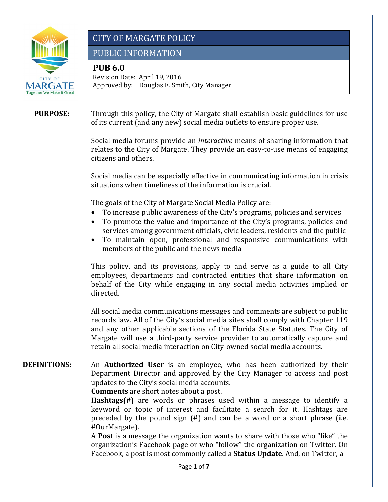

PUBLIC INFORMATION

### **PUB 6.0**

 Approved by: Douglas E. Smith, City Manager Revision Date: April 19, 2016

#### **PURPOSE:**  Through this policy, the City of Margate shall establish basic guidelines for use of its current (and any new) social media outlets to ensure proper use.

Social media forums provide an *interactive* means of sharing information that relates to the City of Margate. They provide an easy-to-use means of engaging citizens and others.

 $f_{\rm eff}$  /  $f_{\rm eff}$  /  $f_{\rm eff}$  /  $f_{\rm eff}$  /  $f_{\rm eff}$ 

Social media can be especially effective in communicating information in crisis situations when timeliness of the information is crucial.

The goals of the City of Margate Social Media Policy are:<br>• To increase public awareness of the City's programs.

- To increase public awareness of the City's programs, policies and services
- To promote the value and importance of the City's programs, policies and services among government officials, civic leaders, residents and the public
- • To maintain open, professional and responsive communications with members of the public and the news media

This policy, and its provisions, apply to and serve as a guide to all City employees, departments and contracted entities that share information on behalf of the City while engaging in any social media activities implied or directed.

All social media communications messages and comments are subject to public records law. All of the City's social media sites shall comply with Chapter 119 and any other applicable sections of the Florida State Statutes. The City of Margate will use a third-party service provider to automatically capture and retain all social media interaction on City-owned social media accounts.

#### An **Authorized User** is an employee, who has been authorized by their Department Director and approved by the City Manager to access and post **DEFINITIONS:**  updates to the City's social media accounts.

**Comments** are short notes about a post.

 **Hashtags(#)** are words or phrases used within a message to identify a keyword or topic of interest and facilitate a search for it. Hashtags are preceded by the pound sign (#) and can be a word or a short phrase (i.e. #OurMargate).

A **Post** is a message the organization wants to share with those who "like" the organization's Facebook page or who "follow" the organization on Twitter. On Facebook, a post is most commonly called a **Status Update**. And, on Twitter, a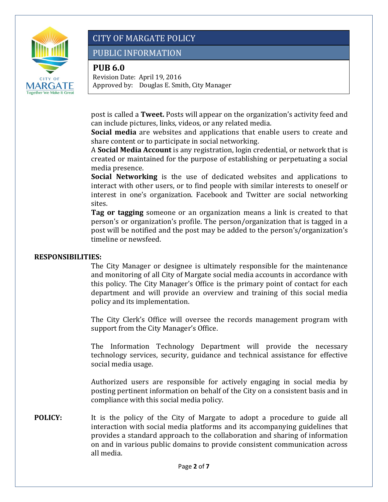

PUBLIC INFORMATION

### **PUB 6.0**

 Approved by: Douglas E. Smith, City Manager Revision Date: April 19, 2016

post is called a **Tweet.** Posts will appear on the organization's activity feed and can include pictures, links, videos, or any related media.

 $f_{\rm eff}$  /  $f_{\rm eff}$  /  $f_{\rm eff}$  /  $f_{\rm eff}$  /  $f_{\rm eff}$ 

 **Social media** are websites and applications that enable users to create and share content or to participate in social networking.

 created or maintained for the purpose of establishing or perpetuating a social A **Social Media Account** is any registration, login credential, or network that is media presence.

**Social Networking** is the use of dedicated websites and applications to interact with other users, or to find people with similar interests to oneself or interest in one's organization. Facebook and Twitter are social networking sites.

**Tag or tagging** someone or an organization means a link is created to that person's or organization's profile. The person/organization that is tagged in a post will be notified and the post may be added to the person's/organization's timeline or newsfeed.

#### **RESPONSIBILITIES:**

The City Manager or designee is ultimately responsible for the maintenance and monitoring of all City of Margate social media accounts in accordance with this policy. The City Manager's Office is the primary point of contact for each department and will provide an overview and training of this social media policy and its implementation.

The City Clerk's Office will oversee the records management program with support from the City Manager's Office.

The Information Technology Department will provide the necessary technology services, security, guidance and technical assistance for effective social media usage.

 posting pertinent information on behalf of the City on a consistent basis and in Authorized users are responsible for actively engaging in social media by compliance with this social media policy.

**POLICY:** It is the policy of the City of Margate to adopt a procedure to guide all interaction with social media platforms and its accompanying guidelines that provides a standard approach to the collaboration and sharing of information on and in various public domains to provide consistent communication across all media.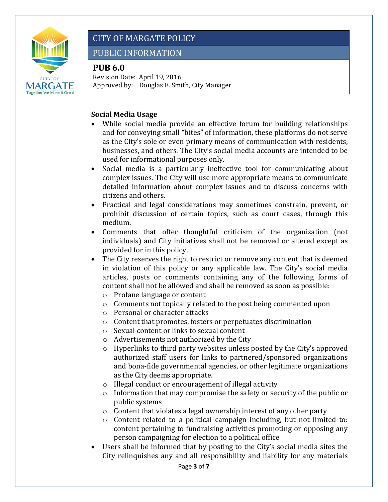

# PUBLIC INFORMATION

# **PUB 6.0**

 Approved by: Douglas E. Smith, City Manager Revision Date: April 19, 2016

### **Social Media Usage**

• While social media provide an effective forum for building relationships and for conveying small "bites" of information, these platforms do not serve as the City's sole or even primary means of communication with residents, businesses, and others. The City's social media accounts are intended to be used for informational purposes only.

 $f_{\rm eff}$  /  $f_{\rm eff}$  /  $f_{\rm eff}$  /  $f_{\rm eff}$  /  $f_{\rm eff}$ 

- Social media is a particularly ineffective tool for communicating about complex issues. The City will use more appropriate means to communicate detailed information about complex issues and to discuss concerns with citizens and others.
- Practical and legal considerations may sometimes constrain, prevent, or prohibit discussion of certain topics, such as court cases, through this medium.
- Comments that offer thoughtful criticism of the organization (not individuals) and City initiatives shall not be removed or altered except as provided for in this policy.
- in violation of this policy or any applicable law. The City's social media • The City reserves the right to restrict or remove any content that is deemed articles, posts or comments containing any of the following forms of content shall not be allowed and shall be removed as soon as possible:
	- o Profane language or content
	- o Comments not topically related to the post being commented upon
	- o Personal or character attacks
	- o Content that promotes, fosters or perpetuates discrimination
	- o Sexual content or links to sexual content
	- o Advertisements not authorized by the City
	- o Hyperlinks to third party websites unless posted by the City's approved authorized staff users for links to partnered/sponsored organizations and bona-fide governmental agencies, or other legitimate organizations as the City deems appropriate.
	- o Illegal conduct or encouragement of illegal activity
	- o Information that may compromise the safety or security of the public or public systems
	- o Content that violates a legal ownership interest of any other party
	- o Content related to a political campaign including, but not limited to: content pertaining to fundraising activities promoting or opposing any person campaigning for election to a political office
- City relinquishes any and all responsibility and liability for any materials Users shall be informed that by posting to the City's social media sites the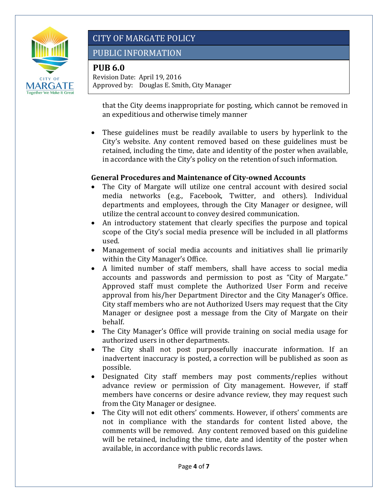

## PUBLIC INFORMATION

## **PUB 6.0**

 Approved by: Douglas E. Smith, City Manager Revision Date: April 19, 2016

 $f_{\rm eff}$  /  $f_{\rm eff}$  /  $f_{\rm eff}$  /  $f_{\rm eff}$  /  $f_{\rm eff}$ that the City deems inappropriate for posting, which cannot be removed in an expeditious and otherwise timely manner

These guidelines must be readily available to users by hyperlink to the City's website. Any content removed based on these guidelines must be retained, including the time, date and identity of the poster when available, in accordance with the City's policy on the retention of such information.

### **General Procedures and Maintenance of City-owned Accounts**

- The City of Margate will utilize one central account with desired social media networks (e.g., Facebook, Twitter, and others). Individual departments and employees, through the City Manager or designee, will utilize the central account to convey desired communication.
- An introductory statement that clearly specifies the purpose and topical scope of the City's social media presence will be included in all platforms used.
- Management of social media accounts and initiatives shall lie primarily within the City Manager's Office.
- • A limited number of staff members, shall have access to social media accounts and passwords and permission to post as "City of Margate." Approved staff must complete the Authorized User Form and receive approval from his/her Department Director and the City Manager's Office. City staff members who are not Authorized Users may request that the City Manager or designee post a message from the City of Margate on their behalf.
- The City Manager's Office will provide training on social media usage for authorized users in other departments.
- The City shall not post purposefully inaccurate information. If an inadvertent inaccuracy is posted, a correction will be published as soon as possible.
- Designated City staff members may post comments/replies without advance review or permission of City management. However, if staff members have concerns or desire advance review, they may request such from the City Manager or designee.
- available, in accordance with public records laws. • The City will not edit others' comments. However, if others' comments are not in compliance with the standards for content listed above, the comments will be removed. Any content removed based on this guideline will be retained, including the time, date and identity of the poster when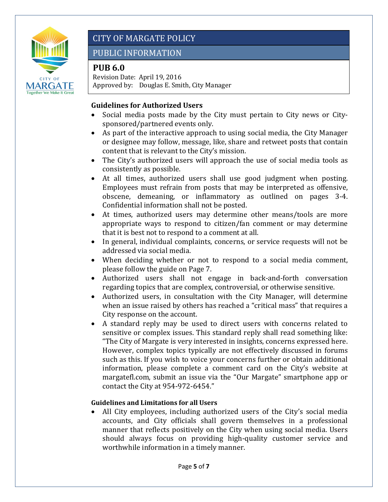

# PUBLIC INFORMATION

# **PUB 6.0**

 Approved by: Douglas E. Smith, City Manager Revision Date: April 19, 2016

#### **Guidelines for Authorized Users**

• Social media posts made by the City must pertain to City news or Citysponsored/partnered events only.

 $f_{\rm eff}$  /  $f_{\rm eff}$  /  $f_{\rm eff}$  /  $f_{\rm eff}$  /  $f_{\rm eff}$ 

- As part of the interactive approach to using social media, the City Manager or designee may follow, message, like, share and retweet posts that contain content that is relevant to the City's mission.
- The City's authorized users will approach the use of social media tools as consistently as possible.
- At all times, authorized users shall use good judgment when posting. Employees must refrain from posts that may be interpreted as offensive, obscene, demeaning, or inflammatory as outlined on pages 3-4. Confidential information shall not be posted.
- At times, authorized users may determine other means/tools are more appropriate ways to respond to citizen/fan comment or may determine that it is best not to respond to a comment at all.
- In general, individual complaints, concerns, or service requests will not be addressed via social media.
- When deciding whether or not to respond to a social media comment, please follow the guide on Page 7.
- Authorized users shall not engage in back-and-forth conversation regarding topics that are complex, controversial, or otherwise sensitive.
- Authorized users, in consultation with the City Manager, will determine when an issue raised by others has reached a "critical mass" that requires a City response on the account.
- such as this. If you wish to voice your concerns further or obtain additional • A standard reply may be used to direct users with concerns related to sensitive or complex issues. This standard reply shall read something like: "The City of Margate is very interested in insights, concerns expressed here. However, complex topics typically are not effectively discussed in forums information, please complete a comment card on the City's website at [margatefl.com](https://margatefl.com), submit an issue via the "Our Margate" smartphone app or contact the City at 954-972-6454."

### **Guidelines and Limitations for all Users**

• All City employees, including authorized users of the City's social media accounts, and City officials shall govern themselves in a professional manner that reflects positively on the City when using social media. Users should always focus on providing high-quality customer service and worthwhile information in a timely manner.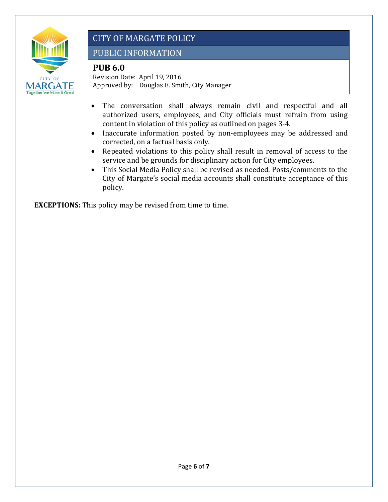

# PUBLIC INFORMATION

# **PUB 6.0**

 Approved by: Douglas E. Smith, City Manager Revision Date: April 19, 2016

- $f_{\rm eff}$  /  $f_{\rm eff}$  /  $f_{\rm eff}$  /  $f_{\rm eff}$  /  $f_{\rm eff}$ • The conversation shall always remain civil and respectful and all authorized users, employees, and City officials must refrain from using content in violation of this policy as outlined on pages 3-4.
- Inaccurate information posted by non-employees may be addressed and corrected, on a factual basis only.
- • Repeated violations to this policy shall result in removal of access to the service and be grounds for disciplinary action for City employees.
- This Social Media Policy shall be revised as needed. Posts/comments to the City of Margate's social media accounts shall constitute acceptance of this policy.

**EXCEPTIONS:** This policy may be revised from time to time.